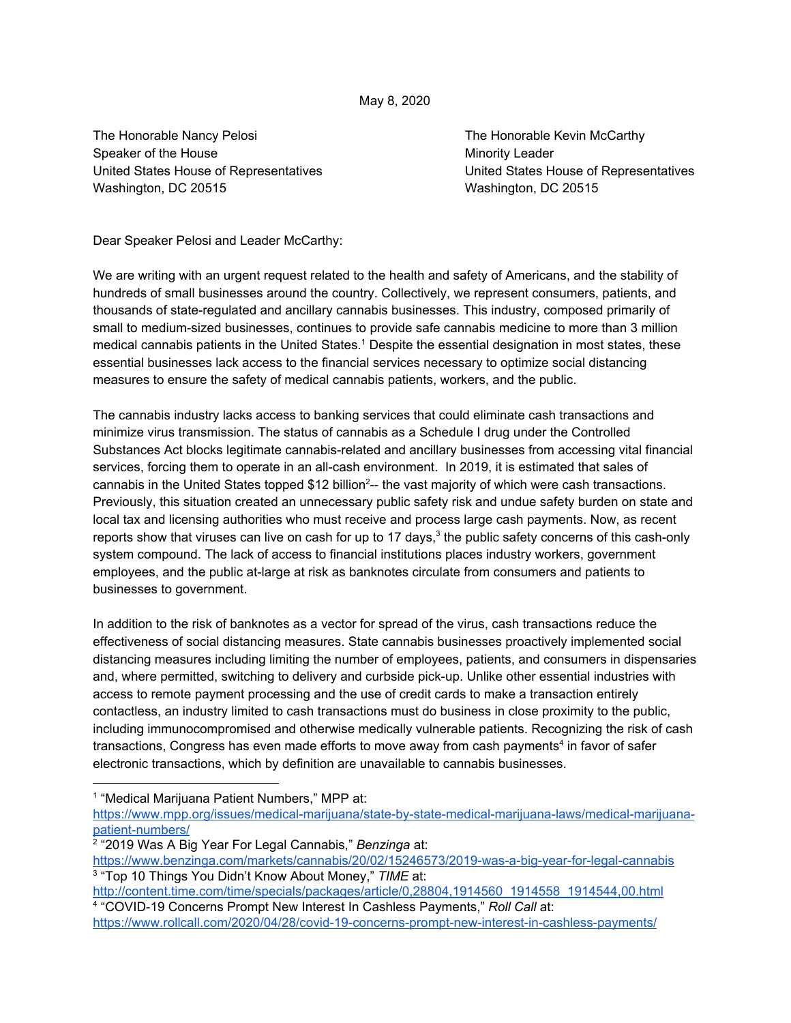## May 8, 2020

The Honorable Nancy Pelosi **The Honorable Kevin McCarthy** Speaker of the House Minority Leader Minority Leader United States House of Representatives United States House of Representatives Washington, DC 20515 Washington, DC 20515

Dear Speaker Pelosi and Leader McCarthy:

We are writing with an urgent request related to the health and safety of Americans, and the stability of hundreds of small businesses around the country. Collectively, we represent consumers, patients, and thousands of state-regulated and ancillary cannabis businesses. This industry, composed primarily of small to medium-sized businesses, continues to provide safe cannabis medicine to more than 3 million medical cannabis patients in the United States.<sup>1</sup> Despite the essential designation in most states, these essential businesses lack access to the financial services necessary to optimize social distancing measures to ensure the safety of medical cannabis patients, workers, and the public.

The cannabis industry lacks access to banking services that could eliminate cash transactions and minimize virus transmission. The status of cannabis as a Schedule I drug under the Controlled Substances Act blocks legitimate cannabis-related and ancillary businesses from accessing vital financial services, forcing them to operate in an all-cash environment. In 2019, it is estimated that sales of cannabis in the United States topped  $$12$  billion<sup>2</sup>-- the vast majority of which were cash transactions. Previously, this situation created an unnecessary public safety risk and undue safety burden on state and local tax and licensing authorities who must receive and process large cash payments. Now, as recent reports show that viruses can live on cash for up to 17 days,<sup>3</sup> the public safety concerns of this cash-only system compound. The lack of access to financial institutions places industry workers, government employees, and the public at-large at risk as banknotes circulate from consumers and patients to businesses to government.

In addition to the risk of banknotes as a vector for spread of the virus, cash transactions reduce the effectiveness of social distancing measures. State cannabis businesses proactively implemented social distancing measures including limiting the number of employees, patients, and consumers in dispensaries and, where permitted, switching to delivery and curbside pick-up. Unlike other essential industries with access to remote payment processing and the use of credit cards to make a transaction entirely contactless, an industry limited to cash transactions must do business in close proximity to the public, including immunocompromised and otherwise medically vulnerable patients. Recognizing the risk of cash transactions, Congress has even made efforts to move away from cash payments<sup>4</sup> in favor of safer electronic transactions, which by definition are unavailable to cannabis businesses.

1 "Medical Marijuana Patient Numbers," MPP at:

[https://www.mpp.org/issues/medical-marijuana/state-by-state-medical-marijuana-laws/medical-marijuana](https://www.mpp.org/issues/medical-marijuana/state-by-state-medical-marijuana-laws/medical-marijuana-patient-numbers/)[patient-numbers/](https://www.mpp.org/issues/medical-marijuana/state-by-state-medical-marijuana-laws/medical-marijuana-patient-numbers/)

2 "2019 Was A Big Year For Legal Cannabis," *Benzinga* at:

<https://www.benzinga.com/markets/cannabis/20/02/15246573/2019-was-a-big-year-for-legal-cannabis> 3 "Top 10 Things You Didn't Know About Money," *TIME* at:

[http://content.time.com/time/specials/packages/article/0,28804,1914560\\_1914558\\_1914544,00.html](http://content.time.com/time/specials/packages/article/0,28804,1914560_1914558_1914544,00.html) 4 "COVID-19 Concerns Prompt New Interest In Cashless Payments," *Roll Call* at:

<https://www.rollcall.com/2020/04/28/covid-19-concerns-prompt-new-interest-in-cashless-payments/>